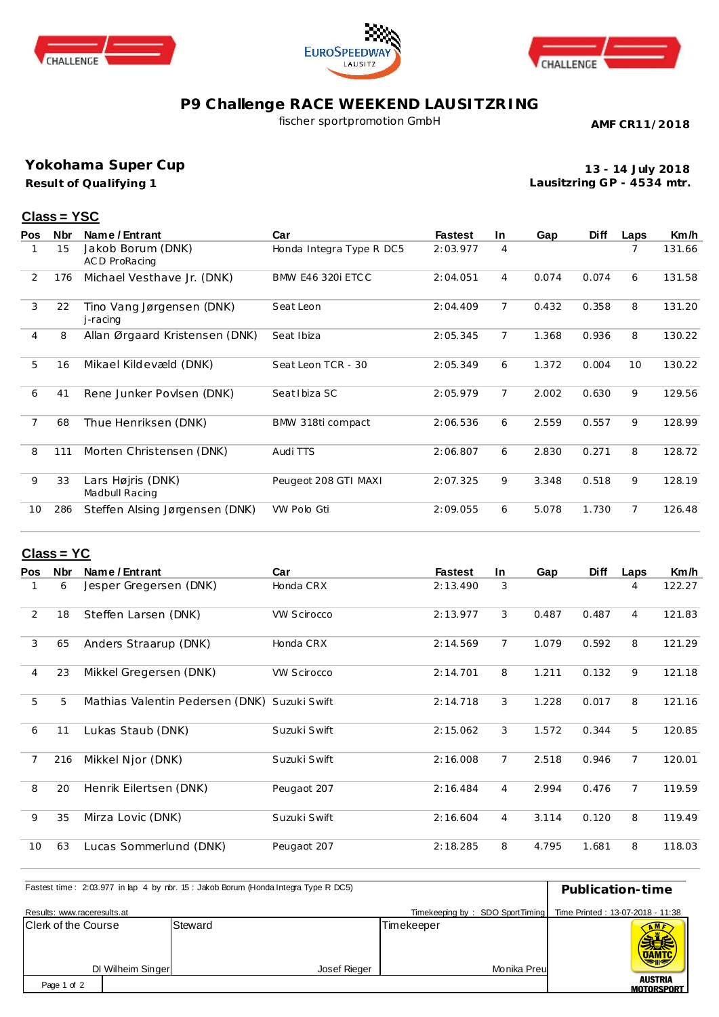





## **P9 Challenge RACE WEEKEND LAUSITZRING**

fischer sportpromotion GmbH

**AMF CR11/2018**

**Yokohama Super Cup**

**Result of Qualifying 1**

**13 - 14 July 2018 Lausitzring GP - 4534 mtr.**

## **Class = YSC**

| <b>Pos</b>     | Nbr | Name / Entrant                        | Car                       | <b>Fastest</b> | In.            | Gap   | <b>Diff</b> | Laps | Km/h   |
|----------------|-----|---------------------------------------|---------------------------|----------------|----------------|-------|-------------|------|--------|
|                | 15  | Jakob Borum (DNK)<br>AC D ProRacing   | Honda Integra Type R DC5  | 2:03.977       | 4              |       |             | 7    | 131.66 |
| 2              | 176 | Michael Vesthave Jr. (DNK)            | <b>BMW E46 320i ETC C</b> | 2:04.051       | 4              | 0.074 | 0.074       | 6    | 131.58 |
| 3              | 22  | Tino Vang Jørgensen (DNK)<br>j-racing | Seat Leon                 | 2:04.409       | 7              | 0.432 | 0.358       | 8    | 131.20 |
| $\overline{4}$ | 8   | Allan Ørgaard Kristensen (DNK)        | Seat Ibiza                | 2:05.345       | $\overline{7}$ | 1.368 | 0.936       | 8    | 130.22 |
| 5              | 16  | Mikael Kildevæld (DNK)                | Seat Leon TCR - 30        | 2:05.349       | 6              | 1.372 | 0.004       | 10   | 130.22 |
| 6              | 41  | Rene Junker Povlsen (DNK)             | Seat I biza SC            | 2:05.979       | $\overline{7}$ | 2.002 | 0.630       | 9    | 129.56 |
| 7              | 68  | Thue Henriksen (DNK)                  | BMW 318ti compact         | 2:06.536       | 6              | 2.559 | 0.557       | 9    | 128.99 |
| 8              | 111 | Morten Christensen (DNK)              | Audi TTS                  | 2:06.807       | 6              | 2.830 | 0.271       | 8    | 128.72 |
| 9              | 33  | Lars Højris (DNK)<br>Madbull Racing   | Peugeot 208 GTI MAXI      | 2:07.325       | 9              | 3.348 | 0.518       | 9    | 128.19 |
| 10             | 286 | Steffen Alsing Jørgensen (DNK)        | VW Polo Gti               | 2:09.055       | 6              | 5.078 | 1.730       | 7    | 126.48 |

## **Class = YC**

| <b>Pos</b>     | <b>Nbr</b> | Name / Entrant                               | Car                | <b>Fastest</b> | In.            | Gap   | <b>Diff</b> | Laps           | Km/h   |
|----------------|------------|----------------------------------------------|--------------------|----------------|----------------|-------|-------------|----------------|--------|
|                | 6          | Jesper Gregersen (DNK)                       | Honda CRX          | 2:13.490       | 3              |       |             | 4              | 122.27 |
| $\overline{2}$ | 18         | Steffen Larsen (DNK)                         | <b>VW Scirocco</b> | 2:13.977       | 3              | 0.487 | 0.487       | 4              | 121.83 |
| 3              | 65         | Anders Straarup (DNK)                        | Honda CRX          | 2:14.569       | $\overline{7}$ | 1.079 | 0.592       | 8              | 121.29 |
| $\overline{4}$ | 23         | Mikkel Gregersen (DNK)                       | <b>VW Scirocco</b> | 2:14.701       | 8              | 1.211 | 0.132       | 9              | 121.18 |
| 5              | 5          | Mathias Valentin Pedersen (DNK) Suzuki Swift |                    | 2:14.718       | 3              | 1.228 | 0.017       | 8              | 121.16 |
| 6              | 11         | Lukas Staub (DNK)                            | Suzuki Swift       | 2:15.062       | 3              | 1.572 | 0.344       | 5              | 120.85 |
| 7              | 216        | Mikkel Njor (DNK)                            | Suzuki Swift       | 2:16.008       | $\overline{7}$ | 2.518 | 0.946       | $\overline{7}$ | 120.01 |
| 8              | 20         | Henrik Eilertsen (DNK)                       | Peugaot 207        | 2:16.484       | 4              | 2.994 | 0.476       | $\overline{7}$ | 119.59 |
| 9              | 35         | Mirza Lovic (DNK)                            | Suzuki Swift       | 2:16.604       | $\overline{4}$ | 3.114 | 0.120       | 8              | 119.49 |
| 10             | 63         | Lucas Sommerlund (DNK)                       | Peugaot 207        | 2:18.285       | 8              | 4.795 | 1.681       | 8              | 118.03 |

| Fastest time: 2:03.977 in lap 4 by rbr. 15: Jakob Borum (Honda Integra Type R DC5) | Publication-time  |                         |                                 |                                     |
|------------------------------------------------------------------------------------|-------------------|-------------------------|---------------------------------|-------------------------------------|
| Results: www.raceresults.at                                                        |                   |                         | Timekeeping by: SDO SportTiming | Time Printed: 13-07-2018 - 11:38    |
| <b>Clerk of the Course</b>                                                         | DI Wilheim Singer | Steward<br>Josef Rieger | Timekeeper<br>Monika Preu       | <b>DAMTO</b>                        |
| Page 1 of 2                                                                        |                   |                         |                                 | <b>AUSTRIA</b><br><b>MOTORSPORT</b> |